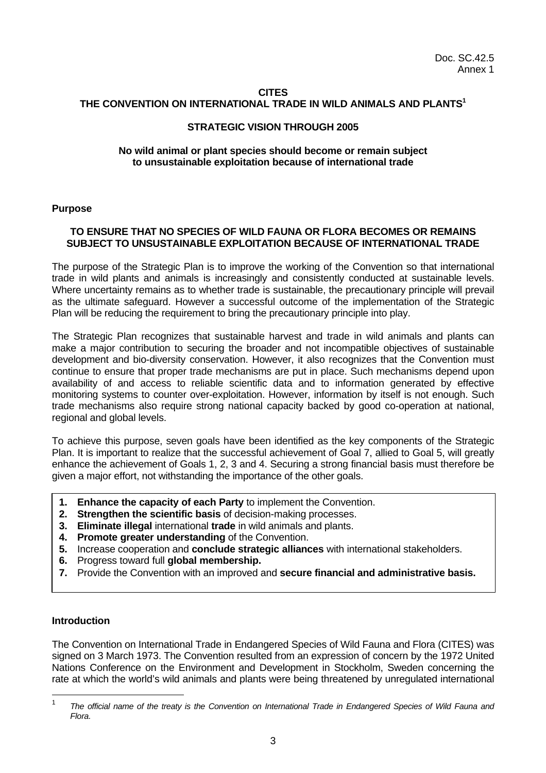#### **CITES**

#### **THE CONVENTION ON INTERNATIONAL TRADE IN WILD ANIMALS AND PLANTS<sup>1</sup>**

#### **STRATEGIC VISION THROUGH 2005**

#### **No wild animal or plant species should become or remain subject to unsustainable exploitation because of international trade**

#### **Purpose**

#### **TO ENSURE THAT NO SPECIES OF WILD FAUNA OR FLORA BECOMES OR REMAINS SUBJECT TO UNSUSTAINABLE EXPLOITATION BECAUSE OF INTERNATIONAL TRADE**

The purpose of the Strategic Plan is to improve the working of the Convention so that international trade in wild plants and animals is increasingly and consistently conducted at sustainable levels. Where uncertainty remains as to whether trade is sustainable, the precautionary principle will prevail as the ultimate safeguard. However a successful outcome of the implementation of the Strategic Plan will be reducing the requirement to bring the precautionary principle into play.

The Strategic Plan recognizes that sustainable harvest and trade in wild animals and plants can make a major contribution to securing the broader and not incompatible objectives of sustainable development and bio-diversity conservation. However, it also recognizes that the Convention must continue to ensure that proper trade mechanisms are put in place. Such mechanisms depend upon availability of and access to reliable scientific data and to information generated by effective monitoring systems to counter over-exploitation. However, information by itself is not enough. Such trade mechanisms also require strong national capacity backed by good co-operation at national, regional and global levels.

To achieve this purpose, seven goals have been identified as the key components of the Strategic Plan. It is important to realize that the successful achievement of Goal 7, allied to Goal 5, will greatly enhance the achievement of Goals 1, 2, 3 and 4. Securing a strong financial basis must therefore be given a major effort, not withstanding the importance of the other goals.

- **1. Enhance the capacity of each Party** to implement the Convention.
- **2. Strengthen the scientific basis** of decision-making processes.
- **3. Eliminate illegal** international **trade** in wild animals and plants.
- **4. Promote greater understanding** of the Convention.
- **5.** Increase cooperation and **conclude strategic alliances** with international stakeholders.
- **6.** Progress toward full **global membership.**
- **7.** Provide the Convention with an improved and **secure financial and administrative basis.**

#### **Introduction**

The Convention on International Trade in Endangered Species of Wild Fauna and Flora (CITES) was signed on 3 March 1973. The Convention resulted from an expression of concern by the 1972 United Nations Conference on the Environment and Development in Stockholm, Sweden concerning the rate at which the world's wild animals and plants were being threatened by unregulated international

 $\frac{1}{1}$ *The official name of the treaty is the Convention on International Trade in Endangered Species of Wild Fauna and Flora.*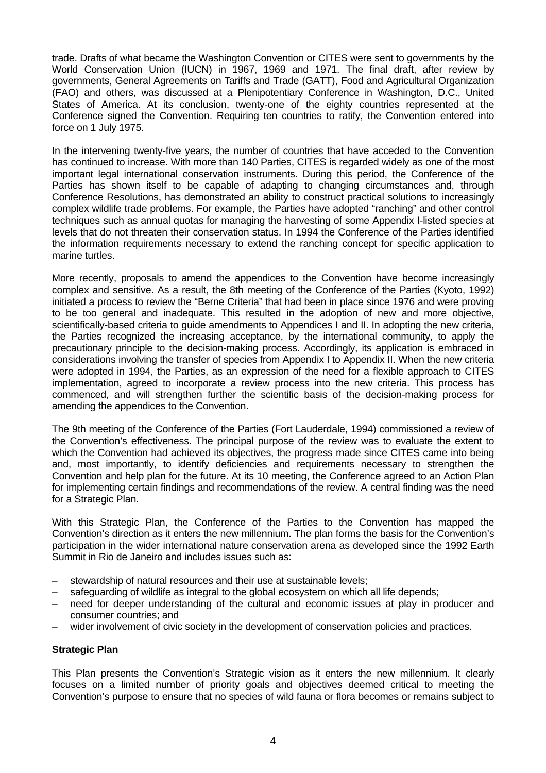trade. Drafts of what became the Washington Convention or CITES were sent to governments by the World Conservation Union (IUCN) in 1967, 1969 and 1971. The final draft, after review by governments, General Agreements on Tariffs and Trade (GATT), Food and Agricultural Organization (FAO) and others, was discussed at a Plenipotentiary Conference in Washington, D.C., United States of America. At its conclusion, twenty-one of the eighty countries represented at the Conference signed the Convention. Requiring ten countries to ratify, the Convention entered into force on 1 July 1975.

In the intervening twenty-five years, the number of countries that have acceded to the Convention has continued to increase. With more than 140 Parties, CITES is regarded widely as one of the most important legal international conservation instruments. During this period, the Conference of the Parties has shown itself to be capable of adapting to changing circumstances and, through Conference Resolutions, has demonstrated an ability to construct practical solutions to increasingly complex wildlife trade problems. For example, the Parties have adopted "ranching" and other control techniques such as annual quotas for managing the harvesting of some Appendix I-listed species at levels that do not threaten their conservation status. In 1994 the Conference of the Parties identified the information requirements necessary to extend the ranching concept for specific application to marine turtles.

More recently, proposals to amend the appendices to the Convention have become increasingly complex and sensitive. As a result, the 8th meeting of the Conference of the Parties (Kyoto, 1992) initiated a process to review the "Berne Criteria" that had been in place since 1976 and were proving to be too general and inadequate. This resulted in the adoption of new and more objective, scientifically-based criteria to guide amendments to Appendices I and II. In adopting the new criteria, the Parties recognized the increasing acceptance, by the international community, to apply the precautionary principle to the decision-making process. Accordingly, its application is embraced in considerations involving the transfer of species from Appendix I to Appendix II. When the new criteria were adopted in 1994, the Parties, as an expression of the need for a flexible approach to CITES implementation, agreed to incorporate a review process into the new criteria. This process has commenced, and will strengthen further the scientific basis of the decision-making process for amending the appendices to the Convention.

The 9th meeting of the Conference of the Parties (Fort Lauderdale, 1994) commissioned a review of the Convention's effectiveness. The principal purpose of the review was to evaluate the extent to which the Convention had achieved its objectives, the progress made since CITES came into being and, most importantly, to identify deficiencies and requirements necessary to strengthen the Convention and help plan for the future. At its 10 meeting, the Conference agreed to an Action Plan for implementing certain findings and recommendations of the review. A central finding was the need for a Strategic Plan.

With this Strategic Plan, the Conference of the Parties to the Convention has mapped the Convention's direction as it enters the new millennium. The plan forms the basis for the Convention's participation in the wider international nature conservation arena as developed since the 1992 Earth Summit in Rio de Janeiro and includes issues such as:

- stewardship of natural resources and their use at sustainable levels;
- safeguarding of wildlife as integral to the global ecosystem on which all life depends;
- need for deeper understanding of the cultural and economic issues at play in producer and consumer countries; and
- wider involvement of civic society in the development of conservation policies and practices.

#### **Strategic Plan**

This Plan presents the Convention's Strategic vision as it enters the new millennium. It clearly focuses on a limited number of priority goals and objectives deemed critical to meeting the Convention's purpose to ensure that no species of wild fauna or flora becomes or remains subject to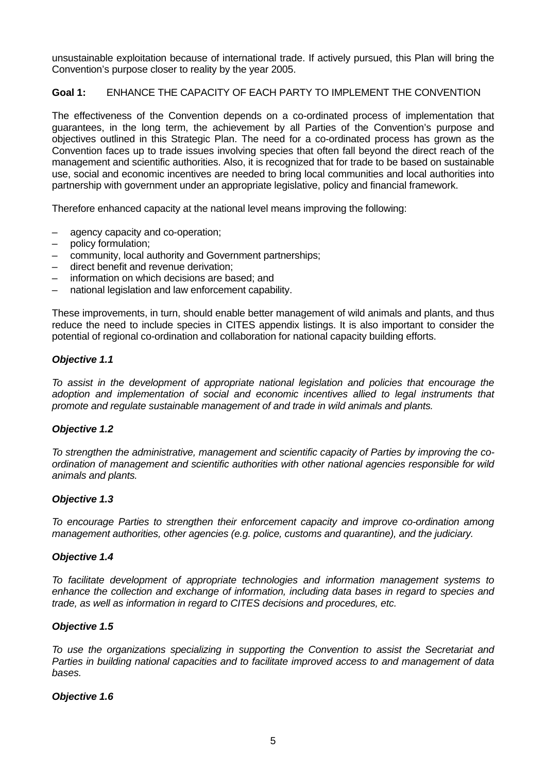unsustainable exploitation because of international trade. If actively pursued, this Plan will bring the Convention's purpose closer to reality by the year 2005.

# **Goal 1:** ENHANCE THE CAPACITY OF EACH PARTY TO IMPLEMENT THE CONVENTION

The effectiveness of the Convention depends on a co-ordinated process of implementation that guarantees, in the long term, the achievement by all Parties of the Convention's purpose and objectives outlined in this Strategic Plan. The need for a co-ordinated process has grown as the Convention faces up to trade issues involving species that often fall beyond the direct reach of the management and scientific authorities. Also, it is recognized that for trade to be based on sustainable use, social and economic incentives are needed to bring local communities and local authorities into partnership with government under an appropriate legislative, policy and financial framework.

Therefore enhanced capacity at the national level means improving the following:

- agency capacity and co-operation;
- policy formulation;
- community, local authority and Government partnerships;
- direct benefit and revenue derivation;
- information on which decisions are based; and
- national legislation and law enforcement capability.

These improvements, in turn, should enable better management of wild animals and plants, and thus reduce the need to include species in CITES appendix listings. It is also important to consider the potential of regional co-ordination and collaboration for national capacity building efforts.

#### *Objective 1.1*

*To assist in the development of appropriate national legislation and policies that encourage the adoption and implementation of social and economic incentives allied to legal instruments that promote and regulate sustainable management of and trade in wild animals and plants.*

#### *Objective 1.2*

*To strengthen the administrative, management and scientific capacity of Parties by improving the coordination of management and scientific authorities with other national agencies responsible for wild animals and plants.*

#### *Objective 1.3*

*To encourage Parties to strengthen their enforcement capacity and improve co-ordination among management authorities, other agencies (e.g. police, customs and quarantine), and the judiciary.*

#### *Objective 1.4*

*To facilitate development of appropriate technologies and information management systems to enhance the collection and exchange of information, including data bases in regard to species and trade, as well as information in regard to CITES decisions and procedures, etc.*

## *Objective 1.5*

*To use the organizations specializing in supporting the Convention to assist the Secretariat and Parties in building national capacities and to facilitate improved access to and management of data bases.*

#### *Objective 1.6*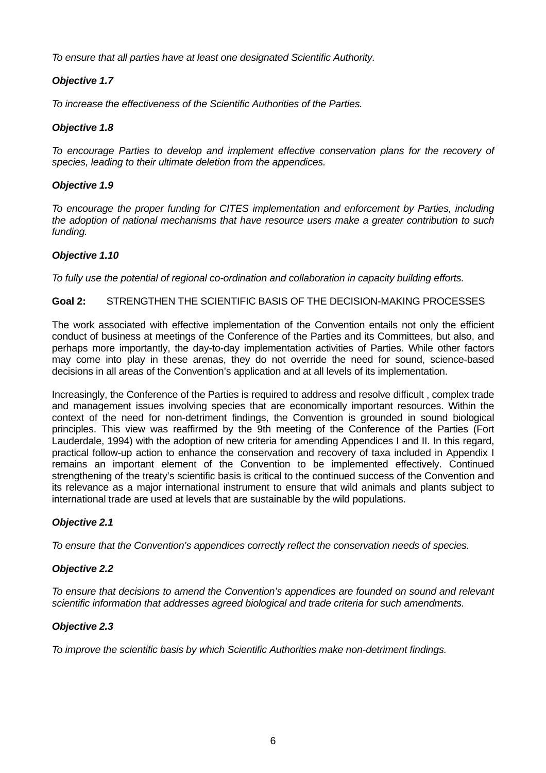*To ensure that all parties have at least one designated Scientific Authority.*

# *Objective 1.7*

*To increase the effectiveness of the Scientific Authorities of the Parties.*

# *Objective 1.8*

*To encourage Parties to develop and implement effective conservation plans for the recovery of species, leading to their ultimate deletion from the appendices.*

# *Objective 1.9*

*To encourage the proper funding for CITES implementation and enforcement by Parties, including the adoption of national mechanisms that have resource users make a greater contribution to such funding.*

# *Objective 1.10*

*To fully use the potential of regional co-ordination and collaboration in capacity building efforts.*

# **Goal 2:** STRENGTHEN THE SCIENTIFIC BASIS OF THE DECISION-MAKING PROCESSES

The work associated with effective implementation of the Convention entails not only the efficient conduct of business at meetings of the Conference of the Parties and its Committees, but also, and perhaps more importantly, the day-to-day implementation activities of Parties. While other factors may come into play in these arenas, they do not override the need for sound, science-based decisions in all areas of the Convention's application and at all levels of its implementation.

Increasingly, the Conference of the Parties is required to address and resolve difficult , complex trade and management issues involving species that are economically important resources. Within the context of the need for non-detriment findings, the Convention is grounded in sound biological principles. This view was reaffirmed by the 9th meeting of the Conference of the Parties (Fort Lauderdale, 1994) with the adoption of new criteria for amending Appendices I and II. In this regard, practical follow-up action to enhance the conservation and recovery of taxa included in Appendix I remains an important element of the Convention to be implemented effectively. Continued strengthening of the treaty's scientific basis is critical to the continued success of the Convention and its relevance as a major international instrument to ensure that wild animals and plants subject to international trade are used at levels that are sustainable by the wild populations.

# *Objective 2.1*

*To ensure that the Convention's appendices correctly reflect the conservation needs of species.*

# *Objective 2.2*

*To ensure that decisions to amend the Convention's appendices are founded on sound and relevant scientific information that addresses agreed biological and trade criteria for such amendments.*

# *Objective 2.3*

*To improve the scientific basis by which Scientific Authorities make non-detriment findings.*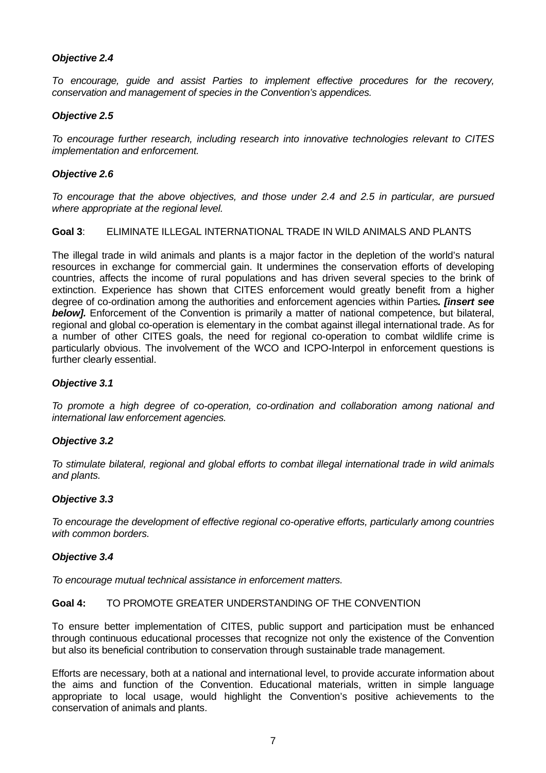# *Objective 2.4*

*To encourage, guide and assist Parties to implement effective procedures for the recovery, conservation and management of species in the Convention's appendices.*

## *Objective 2.5*

*To encourage further research, including research into innovative technologies relevant to CITES implementation and enforcement.*

#### *Objective 2.6*

*To encourage that the above objectives, and those under 2.4 and 2.5 in particular, are pursued where appropriate at the regional level.*

## **Goal 3**: ELIMINATE ILLEGAL INTERNATIONAL TRADE IN WILD ANIMALS AND PLANTS

The illegal trade in wild animals and plants is a major factor in the depletion of the world's natural resources in exchange for commercial gain. It undermines the conservation efforts of developing countries, affects the income of rural populations and has driven several species to the brink of extinction. Experience has shown that CITES enforcement would greatly benefit from a higher degree of co-ordination among the authorities and enforcement agencies within Parties*. [insert see* **below].** Enforcement of the Convention is primarily a matter of national competence, but bilateral, regional and global co-operation is elementary in the combat against illegal international trade. As for a number of other CITES goals, the need for regional co-operation to combat wildlife crime is particularly obvious. The involvement of the WCO and ICPO-Interpol in enforcement questions is further clearly essential.

#### *Objective 3.1*

*To promote a high degree of co-operation, co-ordination and collaboration among national and international law enforcement agencies.*

## *Objective 3.2*

*To stimulate bilateral, regional and global efforts to combat illegal international trade in wild animals and plants.*

## *Objective 3.3*

*To encourage the development of effective regional co-operative efforts, particularly among countries with common borders.*

## *Objective 3.4*

*To encourage mutual technical assistance in enforcement matters.*

#### **Goal 4:** TO PROMOTE GREATER UNDERSTANDING OF THE CONVENTION

To ensure better implementation of CITES, public support and participation must be enhanced through continuous educational processes that recognize not only the existence of the Convention but also its beneficial contribution to conservation through sustainable trade management.

Efforts are necessary, both at a national and international level, to provide accurate information about the aims and function of the Convention. Educational materials, written in simple language appropriate to local usage, would highlight the Convention's positive achievements to the conservation of animals and plants.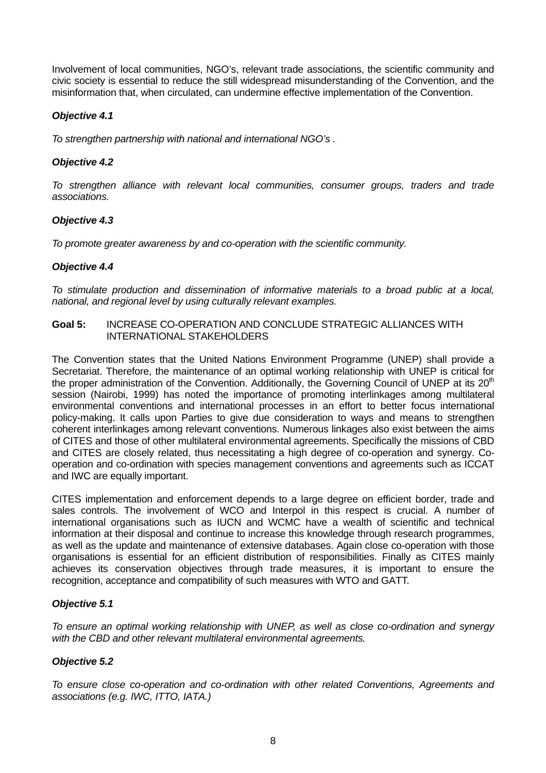Involvement of local communities, NGO's, relevant trade associations, the scientific community and civic society is essential to reduce the still widespread misunderstanding of the Convention, and the misinformation that, when circulated, can undermine effective implementation of the Convention.

# *Objective 4.1*

*To strengthen partnership with national and international NGO's .*

# *Objective 4.2*

*To strengthen alliance with relevant local communities, consumer groups, traders and trade associations.*

# *Objective 4.3*

*To promote greater awareness by and co-operation with the scientific community.*

## *Objective 4.4*

*To stimulate production and dissemination of informative materials to a broad public at a local, national, and regional level by using culturally relevant examples.*

#### **Goal 5:** INCREASE CO-OPERATION AND CONCLUDE STRATEGIC ALLIANCES WITH INTERNATIONAL STAKEHOLDERS

The Convention states that the United Nations Environment Programme (UNEP) shall provide a Secretariat. Therefore, the maintenance of an optimal working relationship with UNEP is critical for the proper administration of the Convention. Additionally, the Governing Council of UNEP at its  $20<sup>th</sup>$ session (Nairobi, 1999) has noted the importance of promoting interlinkages among multilateral environmental conventions and international processes in an effort to better focus international policy-making. It calls upon Parties to give due consideration to ways and means to strengthen coherent interlinkages among relevant conventions. Numerous linkages also exist between the aims of CITES and those of other multilateral environmental agreements. Specifically the missions of CBD and CITES are closely related, thus necessitating a high degree of co-operation and synergy. Cooperation and co-ordination with species management conventions and agreements such as ICCAT and IWC are equally important.

CITES implementation and enforcement depends to a large degree on efficient border, trade and sales controls. The involvement of WCO and Interpol in this respect is crucial. A number of international organisations such as IUCN and WCMC have a wealth of scientific and technical information at their disposal and continue to increase this knowledge through research programmes, as well as the update and maintenance of extensive databases. Again close co-operation with those organisations is essential for an efficient distribution of responsibilities. Finally as CITES mainly achieves its conservation objectives through trade measures, it is important to ensure the recognition, acceptance and compatibility of such measures with WTO and GATT.

## *Objective 5.1*

*To ensure an optimal working relationship with UNEP, as well as close co-ordination and synergy with the CBD and other relevant multilateral environmental agreements.*

## *Objective 5.2*

*To ensure close co-operation and co-ordination with other related Conventions, Agreements and associations (e.g. IWC, ITTO, IATA.)*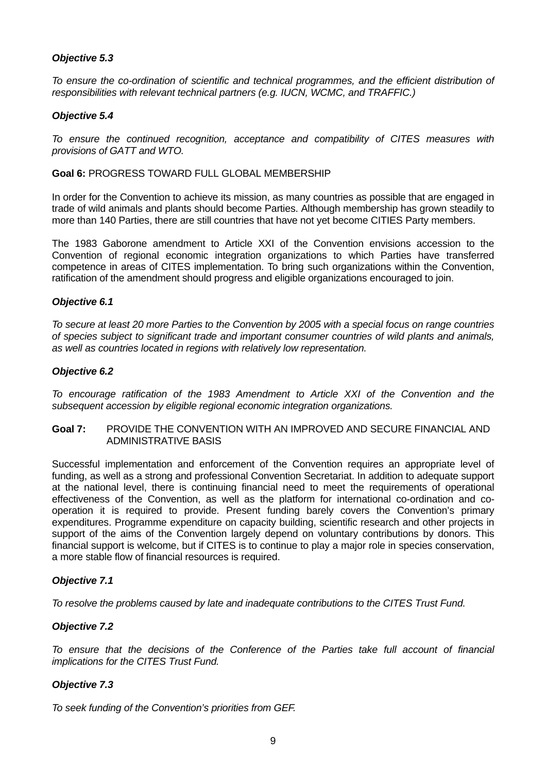# *Objective 5.3*

*To ensure the co-ordination of scientific and technical programmes, and the efficient distribution of responsibilities with relevant technical partners (e.g. IUCN, WCMC, and TRAFFIC.)*

## *Objective 5.4*

*To ensure the continued recognition, acceptance and compatibility of CITES measures with provisions of GATT and WTO.*

**Goal 6:** PROGRESS TOWARD FULL GLOBAL MEMBERSHIP

In order for the Convention to achieve its mission, as many countries as possible that are engaged in trade of wild animals and plants should become Parties. Although membership has grown steadily to more than 140 Parties, there are still countries that have not yet become CITIES Party members.

The 1983 Gaborone amendment to Article XXI of the Convention envisions accession to the Convention of regional economic integration organizations to which Parties have transferred competence in areas of CITES implementation. To bring such organizations within the Convention, ratification of the amendment should progress and eligible organizations encouraged to join.

## *Objective 6.1*

*To secure at least 20 more Parties to the Convention by 2005 with a special focus on range countries of species subject to significant trade and important consumer countries of wild plants and animals, as well as countries located in regions with relatively low representation.*

#### *Objective 6.2*

*To encourage ratification of the 1983 Amendment to Article XXI of the Convention and the subsequent accession by eligible regional economic integration organizations.*

**Goal 7:** PROVIDE THE CONVENTION WITH AN IMPROVED AND SECURE FINANCIAL AND ADMINISTRATIVE BASIS

Successful implementation and enforcement of the Convention requires an appropriate level of funding, as well as a strong and professional Convention Secretariat. In addition to adequate support at the national level, there is continuing financial need to meet the requirements of operational effectiveness of the Convention, as well as the platform for international co-ordination and cooperation it is required to provide. Present funding barely covers the Convention's primary expenditures. Programme expenditure on capacity building, scientific research and other projects in support of the aims of the Convention largely depend on voluntary contributions by donors. This financial support is welcome, but if CITES is to continue to play a major role in species conservation, a more stable flow of financial resources is required.

## *Objective 7.1*

*To resolve the problems caused by late and inadequate contributions to the CITES Trust Fund.*

## *Objective 7.2*

*To ensure that the decisions of the Conference of the Parties take full account of financial implications for the CITES Trust Fund.*

## *Objective 7.3*

*To seek funding of the Convention's priorities from GEF.*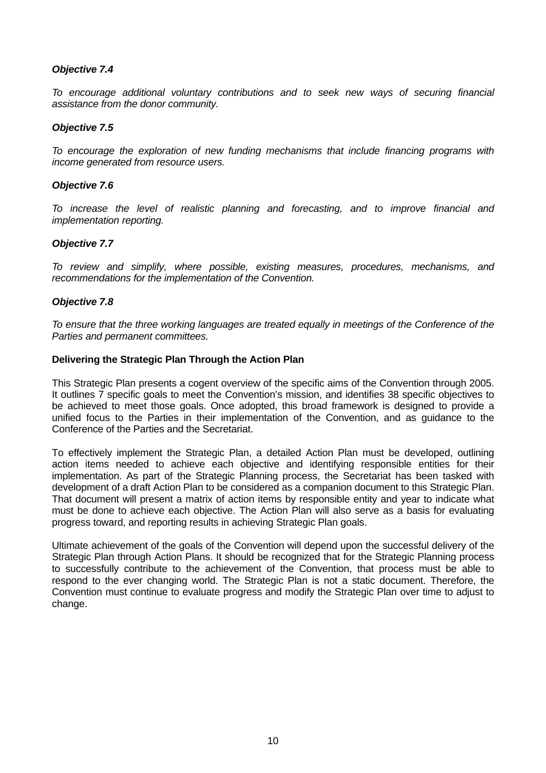## *Objective 7.4*

*To encourage additional voluntary contributions and to seek new ways of securing financial assistance from the donor community.*

## *Objective 7.5*

*To encourage the exploration of new funding mechanisms that include financing programs with income generated from resource users.*

# *Objective 7.6*

*To increase the level of realistic planning and forecasting, and to improve financial and implementation reporting.*

## *Objective 7.7*

*To review and simplify, where possible, existing measures, procedures, mechanisms, and recommendations for the implementation of the Convention.*

## *Objective 7.8*

*To ensure that the three working languages are treated equally in meetings of the Conference of the Parties and permanent committees.*

## **Delivering the Strategic Plan Through the Action Plan**

This Strategic Plan presents a cogent overview of the specific aims of the Convention through 2005. It outlines 7 specific goals to meet the Convention's mission, and identifies 38 specific objectives to be achieved to meet those goals. Once adopted, this broad framework is designed to provide a unified focus to the Parties in their implementation of the Convention, and as guidance to the Conference of the Parties and the Secretariat.

To effectively implement the Strategic Plan, a detailed Action Plan must be developed, outlining action items needed to achieve each objective and identifying responsible entities for their implementation. As part of the Strategic Planning process, the Secretariat has been tasked with development of a draft Action Plan to be considered as a companion document to this Strategic Plan. That document will present a matrix of action items by responsible entity and year to indicate what must be done to achieve each objective. The Action Plan will also serve as a basis for evaluating progress toward, and reporting results in achieving Strategic Plan goals.

Ultimate achievement of the goals of the Convention will depend upon the successful delivery of the Strategic Plan through Action Plans. It should be recognized that for the Strategic Planning process to successfully contribute to the achievement of the Convention, that process must be able to respond to the ever changing world. The Strategic Plan is not a static document. Therefore, the Convention must continue to evaluate progress and modify the Strategic Plan over time to adjust to change.